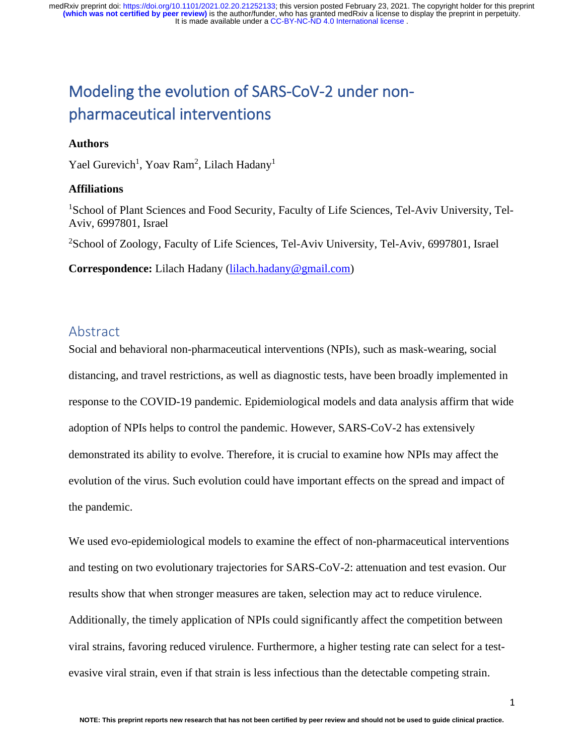# Modeling the evolution of SARS-CoV-2 under nonpharmaceutical interventions

#### **Authors**

Yael Gurevich<sup>1</sup>, Yoav Ram<sup>2</sup>, Lilach Hadany<sup>1</sup>

#### **Affiliations**

<sup>1</sup>School of Plant Sciences and Food Security, Faculty of Life Sciences, Tel-Aviv University, Tel-Aviv, 6997801, Israel

<sup>2</sup>School of Zoology, Faculty of Life Sciences, Tel-Aviv University, Tel-Aviv, 6997801, Israel

**Correspondence:** Lilach Hadany [\(lilach.hadany@gmail.com\)](mailto:lilach.hadany@gmail.com)

### Abstract

Social and behavioral non-pharmaceutical interventions (NPIs), such as mask-wearing, social distancing, and travel restrictions, as well as diagnostic tests, have been broadly implemented in response to the COVID-19 pandemic. Epidemiological models and data analysis affirm that wide adoption of NPIs helps to control the pandemic. However, SARS-CoV-2 has extensively demonstrated its ability to evolve. Therefore, it is crucial to examine how NPIs may affect the evolution of the virus. Such evolution could have important effects on the spread and impact of the pandemic.

We used evo-epidemiological models to examine the effect of non-pharmaceutical interventions and testing on two evolutionary trajectories for SARS-CoV-2: attenuation and test evasion. Our results show that when stronger measures are taken, selection may act to reduce virulence. Additionally, the timely application of NPIs could significantly affect the competition between viral strains, favoring reduced virulence. Furthermore, a higher testing rate can select for a testevasive viral strain, even if that strain is less infectious than the detectable competing strain.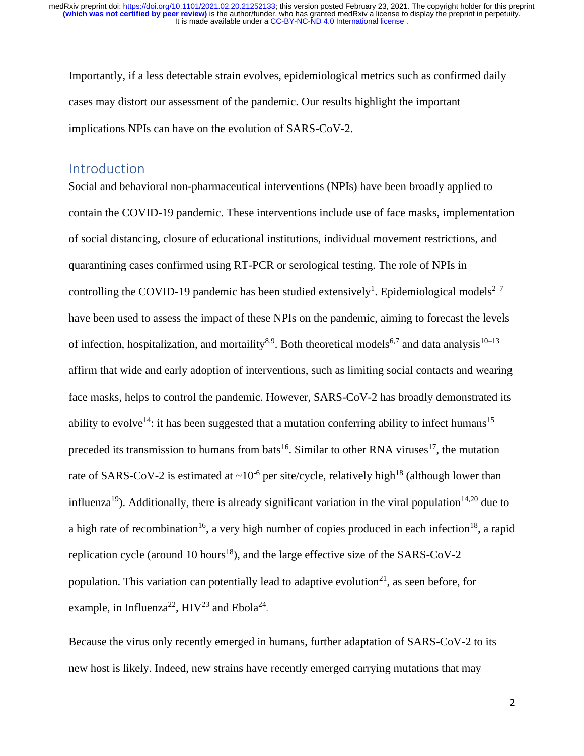Importantly, if a less detectable strain evolves, epidemiological metrics such as confirmed daily cases may distort our assessment of the pandemic. Our results highlight the important implications NPIs can have on the evolution of SARS-CoV-2.

### Introduction

Social and behavioral non-pharmaceutical interventions (NPIs) have been broadly applied to contain the COVID-19 pandemic. These interventions include use of face masks, implementation of social distancing, closure of educational institutions, individual movement restrictions, and quarantining cases confirmed using RT-PCR or serological testing. The role of NPIs in controlling the COVID-19 pandemic has been studied extensively<sup>1</sup>. Epidemiological models<sup>2-7</sup> have been used to assess the impact of these NPIs on the pandemic, aiming to forecast the levels of infection, hospitalization, and mortaility<sup>8,9</sup>. Both theoretical models<sup>6,7</sup> and data analysis<sup>10–13</sup> affirm that wide and early adoption of interventions, such as limiting social contacts and wearing face masks, helps to control the pandemic. However, SARS-CoV-2 has broadly demonstrated its ability to evolve<sup>14</sup>: it has been suggested that a mutation conferring ability to infect humans<sup>15</sup> preceded its transmission to humans from bats<sup>16</sup>. Similar to other RNA viruses<sup>17</sup>, the mutation rate of SARS-CoV-2 is estimated at  $\sim 10^{-6}$  per site/cycle, relatively high<sup>18</sup> (although lower than influenza<sup>19</sup>). Additionally, there is already significant variation in the viral population<sup>14,20</sup> due to a high rate of recombination<sup>16</sup>, a very high number of copies produced in each infection<sup>18</sup>, a rapid replication cycle (around 10 hours<sup>18</sup>), and the large effective size of the SARS-CoV-2 population. This variation can potentially lead to adaptive evolution<sup>21</sup>, as seen before, for example, in Influenza<sup>22</sup>,  $HIV^{23}$  and Ebola<sup>24</sup>.

Because the virus only recently emerged in humans, further adaptation of SARS-CoV-2 to its new host is likely. Indeed, new strains have recently emerged carrying mutations that may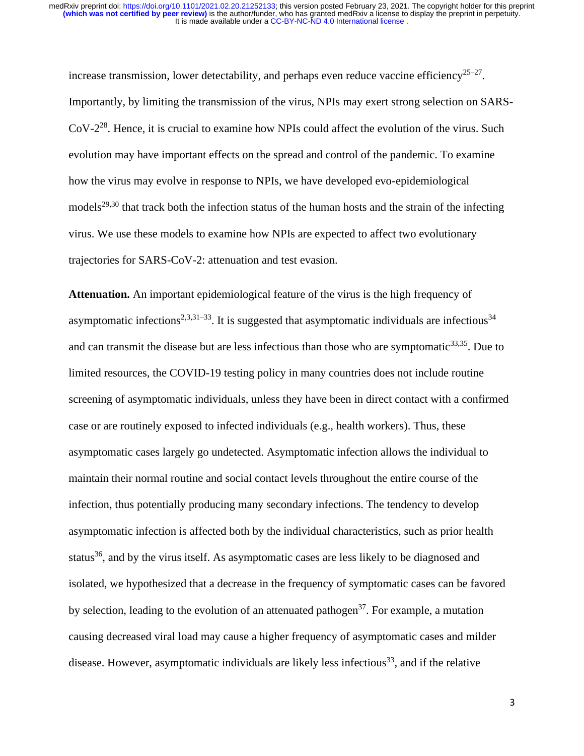increase transmission, lower detectability, and perhaps even reduce vaccine efficiency<sup>25–27</sup>. Importantly, by limiting the transmission of the virus, NPIs may exert strong selection on SARS-CoV-2<sup>28</sup>. Hence, it is crucial to examine how NPIs could affect the evolution of the virus. Such evolution may have important effects on the spread and control of the pandemic. To examine how the virus may evolve in response to NPIs, we have developed evo-epidemiological models<sup>29,30</sup> that track both the infection status of the human hosts and the strain of the infecting virus. We use these models to examine how NPIs are expected to affect two evolutionary trajectories for SARS-CoV-2: attenuation and test evasion.

**Attenuation.** An important epidemiological feature of the virus is the high frequency of asymptomatic infections<sup>2,3,31-33</sup>. It is suggested that asymptomatic individuals are infectious<sup>34</sup> and can transmit the disease but are less infectious than those who are symptomatic $33,35$ . Due to limited resources, the COVID-19 testing policy in many countries does not include routine screening of asymptomatic individuals, unless they have been in direct contact with a confirmed case or are routinely exposed to infected individuals (e.g., health workers). Thus, these asymptomatic cases largely go undetected. Asymptomatic infection allows the individual to maintain their normal routine and social contact levels throughout the entire course of the infection, thus potentially producing many secondary infections. The tendency to develop asymptomatic infection is affected both by the individual characteristics, such as prior health status<sup>36</sup>, and by the virus itself. As asymptomatic cases are less likely to be diagnosed and isolated, we hypothesized that a decrease in the frequency of symptomatic cases can be favored by selection, leading to the evolution of an attenuated pathogen<sup>37</sup>. For example, a mutation causing decreased viral load may cause a higher frequency of asymptomatic cases and milder disease. However, asymptomatic individuals are likely less infectious<sup>33</sup>, and if the relative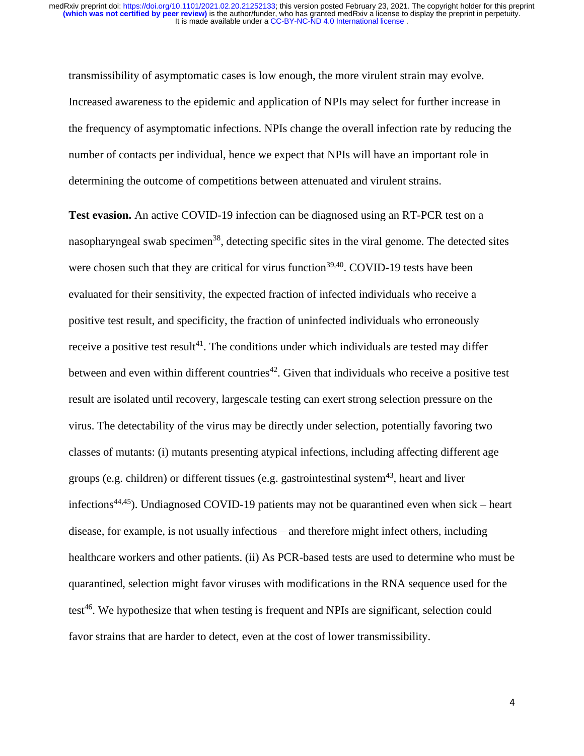transmissibility of asymptomatic cases is low enough, the more virulent strain may evolve. Increased awareness to the epidemic and application of NPIs may select for further increase in the frequency of asymptomatic infections. NPIs change the overall infection rate by reducing the number of contacts per individual, hence we expect that NPIs will have an important role in determining the outcome of competitions between attenuated and virulent strains.

**Test evasion.** An active COVID-19 infection can be diagnosed using an RT-PCR test on a nasopharyngeal swab specimen<sup>38</sup>, detecting specific sites in the viral genome. The detected sites were chosen such that they are critical for virus function<sup>39,40</sup>. COVID-19 tests have been evaluated for their sensitivity, the expected fraction of infected individuals who receive a positive test result, and specificity, the fraction of uninfected individuals who erroneously receive a positive test result<sup>41</sup>. The conditions under which individuals are tested may differ between and even within different countries<sup> $42$ </sup>. Given that individuals who receive a positive test result are isolated until recovery, largescale testing can exert strong selection pressure on the virus. The detectability of the virus may be directly under selection, potentially favoring two classes of mutants: (i) mutants presenting atypical infections, including affecting different age groups (e.g. children) or different tissues (e.g. gastrointestinal system<sup>43</sup>, heart and liver infections<sup>44,45</sup>). Undiagnosed COVID-19 patients may not be quarantined even when sick – heart disease, for example, is not usually infectious – and therefore might infect others, including healthcare workers and other patients. (ii) As PCR-based tests are used to determine who must be quarantined, selection might favor viruses with modifications in the RNA sequence used for the test<sup>46</sup>. We hypothesize that when testing is frequent and NPIs are significant, selection could favor strains that are harder to detect, even at the cost of lower transmissibility.

4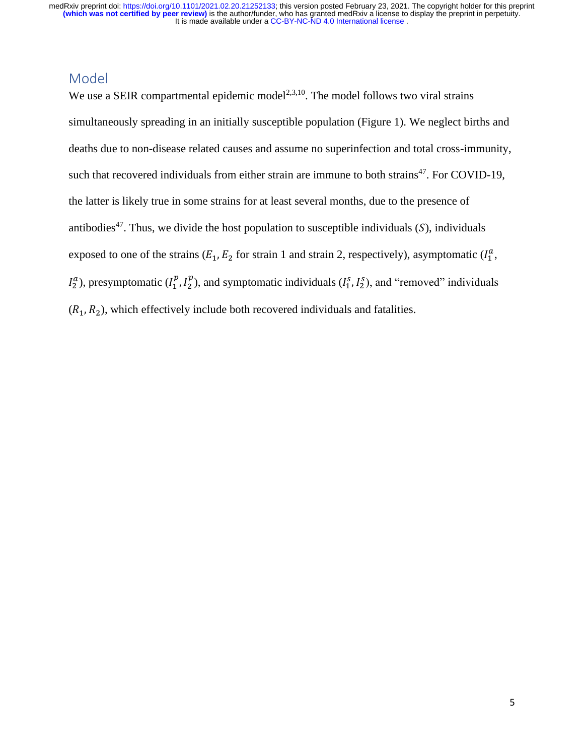## Model

We use a SEIR compartmental epidemic model<sup>2,3,10</sup>. The model follows two viral strains simultaneously spreading in an initially susceptible population (Figure 1). We neglect births and deaths due to non-disease related causes and assume no superinfection and total cross-immunity, such that recovered individuals from either strain are immune to both strains<sup>47</sup>. For COVID-19, the latter is likely true in some strains for at least several months, due to the presence of antibodies<sup>47</sup>. Thus, we divide the host population to susceptible individuals  $(S)$ , individuals exposed to one of the strains  $(E_1, E_2)$  for strain 1 and strain 2, respectively), asymptomatic  $(I_1^a, I_2^b, I_3^b)$  $I_2^a$ ), presymptomatic ( $I_1^p$ ,  $I_2^p$ ), and symptomatic individuals ( $I_1^s$ ,  $I_2^s$ ), and "removed" individuals  $(R_1, R_2)$ , which effectively include both recovered individuals and fatalities.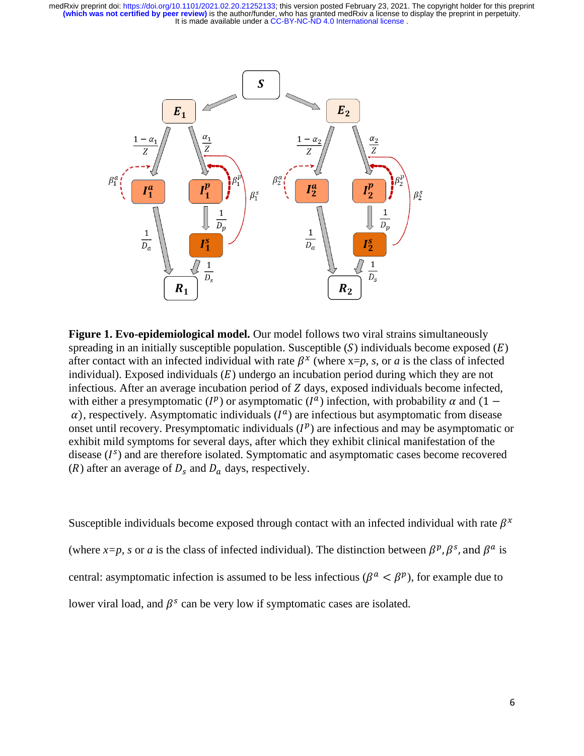

**Figure 1. Evo-epidemiological model.** Our model follows two viral strains simultaneously spreading in an initially susceptible population. Susceptible (S) individuals become exposed ( $E$ ) after contact with an infected individual with rate  $\beta^x$  (where x=p, *s*, or *a* is the class of infected individual). Exposed individuals  $(E)$  undergo an incubation period during which they are not infectious. After an average incubation period of  $Z$  days, exposed individuals become infected, with either a presymptomatic ( $I^p$ ) or asymptomatic ( $I^a$ ) infection, with probability  $\alpha$  and (1 –  $\alpha$ ), respectively. Asymptomatic individuals ( $I^a$ ) are infectious but asymptomatic from disease onset until recovery. Presymptomatic individuals  $(I^p)$  are infectious and may be asymptomatic or exhibit mild symptoms for several days, after which they exhibit clinical manifestation of the disease  $(I<sup>s</sup>)$  and are therefore isolated. Symptomatic and asymptomatic cases become recovered (R) after an average of  $D_s$  and  $D_a$  days, respectively.

Susceptible individuals become exposed through contact with an infected individual with rate  $\beta^x$ (where  $x=p$ , s or a is the class of infected individual). The distinction between  $\beta^p$ ,  $\beta^s$ , and  $\beta^a$  is central: asymptomatic infection is assumed to be less infectious ( $\beta^a < \beta^p$ ), for example due to lower viral load, and  $\beta^s$  can be very low if symptomatic cases are isolated.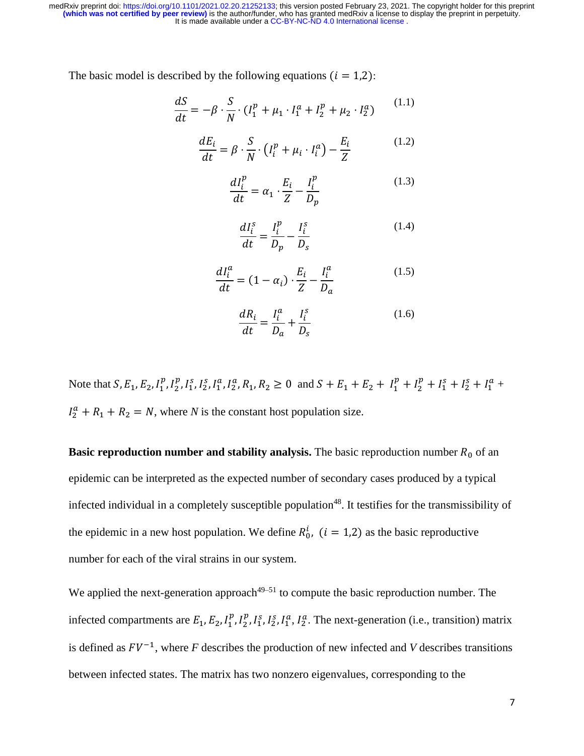The basic model is described by the following equations  $(i = 1,2)$ :

$$
\frac{dS}{dt} = -\beta \cdot \frac{S}{N} \cdot (I_1^p + \mu_1 \cdot I_1^a + I_2^p + \mu_2 \cdot I_2^a)
$$
 (1.1)

$$
\frac{dE_i}{dt} = \beta \cdot \frac{S}{N} \cdot \left( I_i^p + \mu_i \cdot I_i^a \right) - \frac{E_i}{Z}
$$
(1.2)

$$
\frac{dI_i^p}{dt} = \alpha_1 \cdot \frac{E_i}{Z} - \frac{I_i^p}{D_p} \tag{1.3}
$$

$$
\frac{dI_i^s}{dt} = \frac{I_i^p}{D_p} - \frac{I_i^s}{D_s} \tag{1.4}
$$

$$
\frac{dI_i^a}{dt} = (1 - \alpha_i) \cdot \frac{E_i}{Z} - \frac{I_i^a}{D_a}
$$
\n(1.5)

$$
\frac{dR_i}{dt} = \frac{I_i^a}{D_a} + \frac{I_i^s}{D_s} \tag{1.6}
$$

Note that  $S, E_1, E_2, I_1^p, I_2^p, I_1^s, I_2^s, I_1^a, I_2^a, R_1, R_2 \ge 0$  and  $S + E_1 + E_2 + I_1^p + I_2^p + I_1^s + I_2^s + I_1^a + I_2^a$  $I_2^a + R_1 + R_2 = N$ , where *N* is the constant host population size.

**Basic reproduction number and stability analysis. The basic reproduction number**  $R_0$  **of an** epidemic can be interpreted as the expected number of secondary cases produced by a typical infected individual in a completely susceptible population<sup>48</sup>. It testifies for the transmissibility of the epidemic in a new host population. We define  $R_0^i$ ,  $(i = 1,2)$  as the basic reproductive number for each of the viral strains in our system.

We applied the next-generation approach<sup> $49-51$ </sup> to compute the basic reproduction number. The infected compartments are  $E_1, E_2, I_1^p, I_2^p, I_1^s, I_2^s, I_1^a, I_2^a$ . The next-generation (i.e., transition) matrix is defined as  $FV^{-1}$ , where F describes the production of new infected and V describes transitions between infected states. The matrix has two nonzero eigenvalues, corresponding to the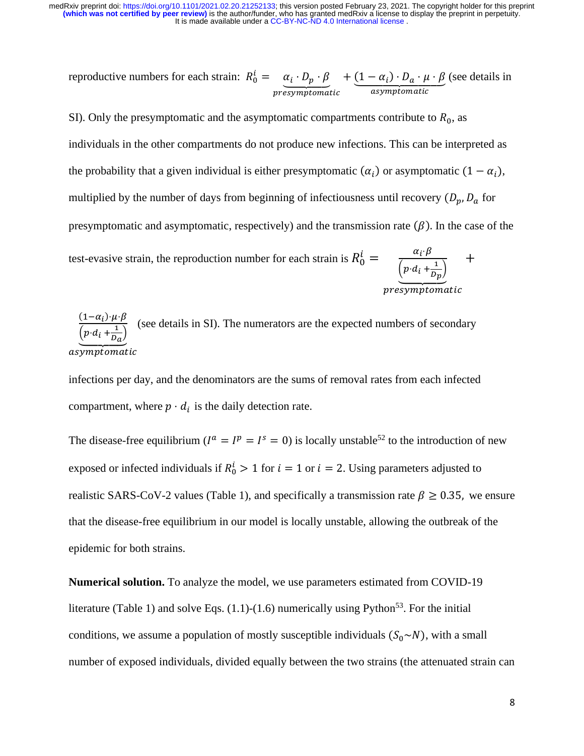reproductive numbers for each strain:  $R_0^i = \alpha_i \cdot D_p \cdot \beta$ presymptomatic  $+ (1 - \alpha_i) \cdot D_a \cdot \mu \cdot \beta$ asymptomatic (see details in

SI). Only the presymptomatic and the asymptomatic compartments contribute to  $R_0$ , as individuals in the other compartments do not produce new infections. This can be interpreted as the probability that a given individual is either presymptomatic  $(\alpha_i)$  or asymptomatic  $(1 - \alpha_i)$ , multiplied by the number of days from beginning of infectiousness until recovery  $(D_p, D_a$  for presymptomatic and asymptomatic, respectively) and the transmission rate  $(\beta)$ . In the case of the test-evasive strain, the reproduction number for each strain is  $R_0^i = \frac{\alpha_i \cdot \beta_i}{\sqrt{n_i} \cdot \beta_i}$  $\left(p \cdot d_i + \frac{1}{D_i}\right)$  $\left(p \cdot d_i + \frac{1}{D_p}\right)$ +

presymptomatic

 $(1-\alpha_i)\cdot \mu \cdot \beta$  $(p \cdot d_i + \frac{1}{D_a})$ asymptomatic (see details in SI). The numerators are the expected numbers of secondary

infections per day, and the denominators are the sums of removal rates from each infected compartment, where  $p \cdot d_i$  is the daily detection rate.

The disease-free equilibrium ( $I^a = I^p = I^s = 0$ ) is locally unstable<sup>52</sup> to the introduction of new exposed or infected individuals if  $R_0^i > 1$  for  $i = 1$  or  $i = 2$ . Using parameters adjusted to realistic SARS-CoV-2 values (Table 1), and specifically a transmission rate  $\beta \ge 0.35$ , we ensure that the disease-free equilibrium in our model is locally unstable, allowing the outbreak of the epidemic for both strains.

**Numerical solution.** To analyze the model, we use parameters estimated from COVID-19 literature (Table 1) and solve Eqs.  $(1.1)$ - $(1.6)$  numerically using Python<sup>53</sup>. For the initial conditions, we assume a population of mostly susceptible individuals  $(S_0 \sim N)$ , with a small number of exposed individuals, divided equally between the two strains (the attenuated strain can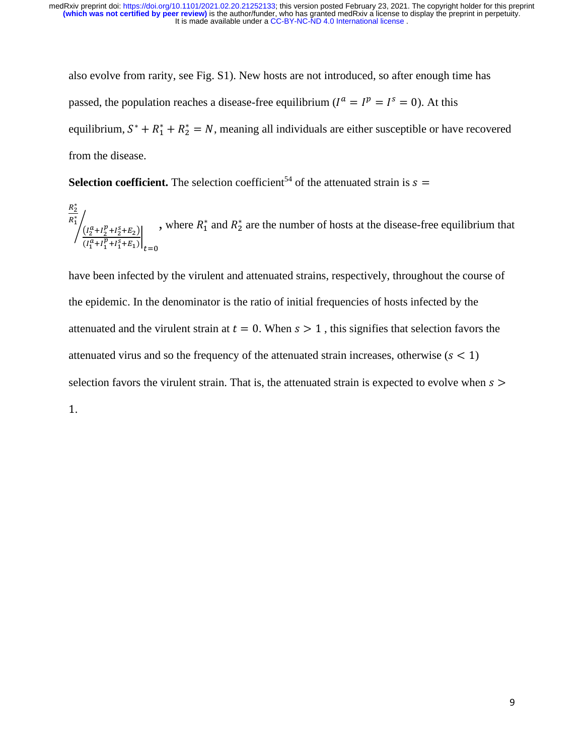also evolve from rarity, see Fig. S1). New hosts are not introduced, so after enough time has passed, the population reaches a disease-free equilibrium ( $I^a = I^p = I^s = 0$ ). At this equilibrium,  $S^* + R_1^* + R_2^* = N$ , meaning all individuals are either susceptible or have recovered from the disease.

**Selection coefficient.** The selection coefficient<sup>54</sup> of the attenuated strain is  $s =$ 

$$
\frac{R_2^*}{R_1^*} \left( \frac{I_2^a + I_2^p + I_2^s + E_2}{I_1^a + I_1^p + I_1^s + E_1} \right) \Big|_{t=0}
$$
, where  $R_1^*$  and  $R_2^*$  are the number of hosts at the disease-free equilibrium that

have been infected by the virulent and attenuated strains, respectively, throughout the course of the epidemic. In the denominator is the ratio of initial frequencies of hosts infected by the attenuated and the virulent strain at  $t = 0$ . When  $s > 1$ , this signifies that selection favors the attenuated virus and so the frequency of the attenuated strain increases, otherwise ( $s < 1$ ) selection favors the virulent strain. That is, the attenuated strain is expected to evolve when  $s >$ 1.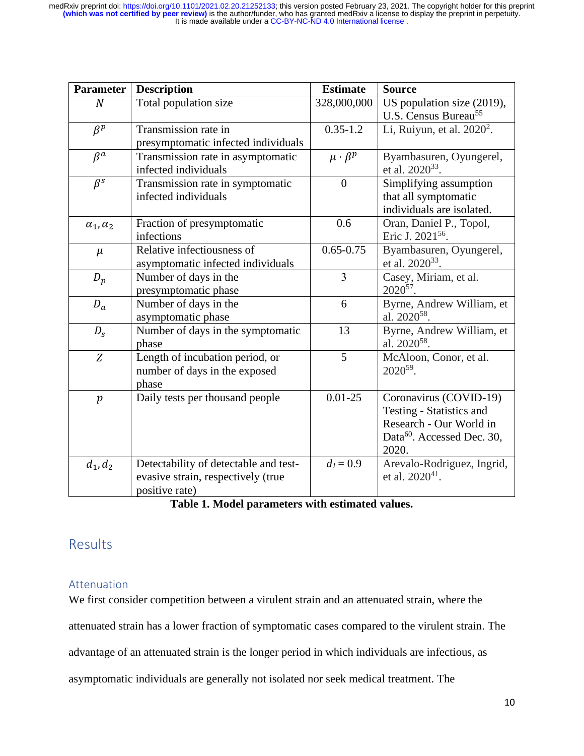| <b>Parameter</b>     | <b>Description</b>                    | <b>Estimate</b>     | <b>Source</b>                          |
|----------------------|---------------------------------------|---------------------|----------------------------------------|
| $\boldsymbol{N}$     | Total population size                 | 328,000,000         | US population size (2019),             |
|                      |                                       |                     | U.S. Census Bureau <sup>55</sup>       |
| $\beta^p$            | Transmission rate in                  | $0.35 - 1.2$        | Li, Ruiyun, et al. $2020^2$ .          |
|                      | presymptomatic infected individuals   |                     |                                        |
| $\beta^a$            | Transmission rate in asymptomatic     | $\mu \cdot \beta^p$ | Byambasuren, Oyungerel,                |
|                      | infected individuals                  |                     | et al. 2020 <sup>33</sup> .            |
| $\beta^s$            | Transmission rate in symptomatic      | $\overline{0}$      | Simplifying assumption                 |
|                      | infected individuals                  |                     | that all symptomatic                   |
|                      |                                       |                     | individuals are isolated.              |
| $\alpha_1, \alpha_2$ | Fraction of presymptomatic            | 0.6                 | Oran, Daniel P., Topol,                |
|                      | infections                            |                     | Eric J. 2021 <sup>56</sup> .           |
| $\mu$                | Relative infectiousness of            | $0.65 - 0.75$       | Byambasuren, Oyungerel,                |
|                      | asymptomatic infected individuals     |                     | et al. 2020 <sup>33</sup> .            |
| $D_p$                | Number of days in the                 | $\overline{3}$      | Casey, Miriam, et al.                  |
|                      | presymptomatic phase                  |                     | $2020^{57}$ .                          |
| $D_a$                | Number of days in the                 | 6                   | Byrne, Andrew William, et              |
|                      | asymptomatic phase                    |                     | al. 2020 <sup>58</sup> .               |
| $D_{S}$              | Number of days in the symptomatic     | 13                  | Byrne, Andrew William, et              |
|                      | phase                                 |                     | al. $2020^{58}$ .                      |
| Z                    | Length of incubation period, or       | 5                   | McAloon, Conor, et al.                 |
|                      | number of days in the exposed         |                     | $2020^{59}$ .                          |
|                      | phase                                 |                     |                                        |
| $\boldsymbol{p}$     | Daily tests per thousand people       | $0.01 - 25$         | Coronavirus (COVID-19)                 |
|                      |                                       |                     | Testing - Statistics and               |
|                      |                                       |                     | Research - Our World in                |
|                      |                                       |                     | Data <sup>60</sup> . Accessed Dec. 30, |
|                      |                                       |                     | 2020.                                  |
| $d_1, d_2$           | Detectability of detectable and test- | $d_1 = 0.9$         | Arevalo-Rodriguez, Ingrid,             |
|                      | evasive strain, respectively (true    |                     | et al. $2020^{41}$ .                   |
|                      | positive rate)                        |                     |                                        |

| Table 1. Model parameters with estimated values. |  |  |  |
|--------------------------------------------------|--|--|--|
|--------------------------------------------------|--|--|--|

# Results

#### Attenuation

We first consider competition between a virulent strain and an attenuated strain, where the attenuated strain has a lower fraction of symptomatic cases compared to the virulent strain. The advantage of an attenuated strain is the longer period in which individuals are infectious, as asymptomatic individuals are generally not isolated nor seek medical treatment. The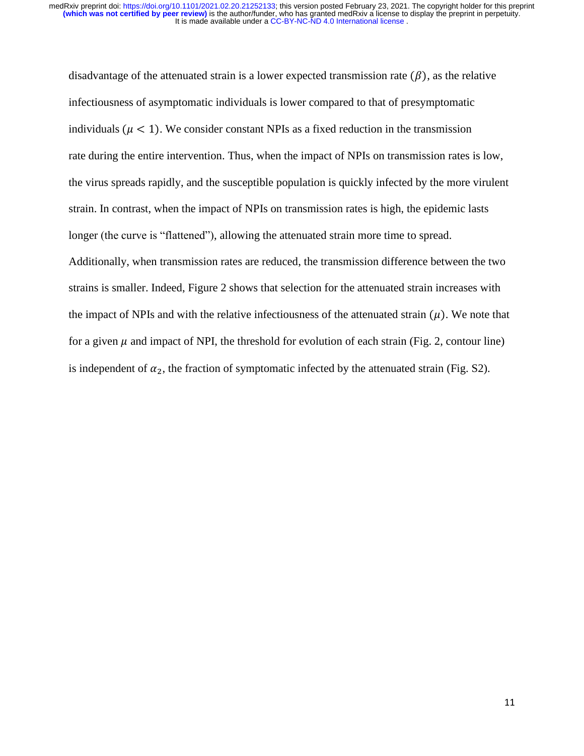disadvantage of the attenuated strain is a lower expected transmission rate  $(\beta)$ , as the relative infectiousness of asymptomatic individuals is lower compared to that of presymptomatic individuals ( $\mu$  < 1). We consider constant NPIs as a fixed reduction in the transmission rate during the entire intervention. Thus, when the impact of NPIs on transmission rates is low, the virus spreads rapidly, and the susceptible population is quickly infected by the more virulent strain. In contrast, when the impact of NPIs on transmission rates is high, the epidemic lasts longer (the curve is "flattened"), allowing the attenuated strain more time to spread. Additionally, when transmission rates are reduced, the transmission difference between the two strains is smaller. Indeed, Figure 2 shows that selection for the attenuated strain increases with the impact of NPIs and with the relative infectiousness of the attenuated strain  $(\mu)$ . We note that for a given  $\mu$  and impact of NPI, the threshold for evolution of each strain (Fig. 2, contour line) is independent of  $\alpha_2$ , the fraction of symptomatic infected by the attenuated strain (Fig. S2).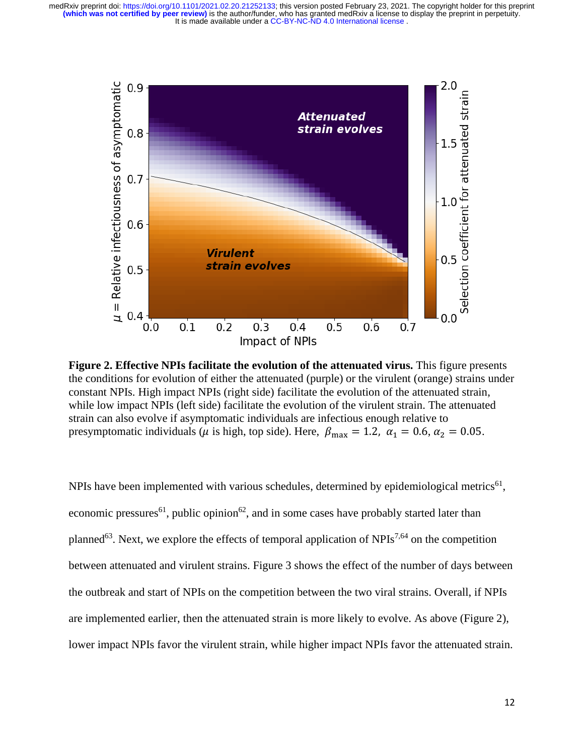

**Figure 2. Effective NPIs facilitate the evolution of the attenuated virus.** This figure presents the conditions for evolution of either the attenuated (purple) or the virulent (orange) strains under constant NPIs. High impact NPIs (right side) facilitate the evolution of the attenuated strain, while low impact NPIs (left side) facilitate the evolution of the virulent strain. The attenuated strain can also evolve if asymptomatic individuals are infectious enough relative to presymptomatic individuals ( $\mu$  is high, top side). Here,  $\beta_{\text{max}} = 1.2$ ,  $\alpha_1 = 0.6$ ,  $\alpha_2 = 0.05$ .

NPIs have been implemented with various schedules, determined by epidemiological metrics<sup>61</sup>, economic pressures<sup>61</sup>, public opinion<sup>62</sup>, and in some cases have probably started later than planned<sup>63</sup>. Next, we explore the effects of temporal application of NPIs<sup>7,64</sup> on the competition between attenuated and virulent strains. Figure 3 shows the effect of the number of days between the outbreak and start of NPIs on the competition between the two viral strains. Overall, if NPIs are implemented earlier, then the attenuated strain is more likely to evolve. As above (Figure 2), lower impact NPIs favor the virulent strain, while higher impact NPIs favor the attenuated strain.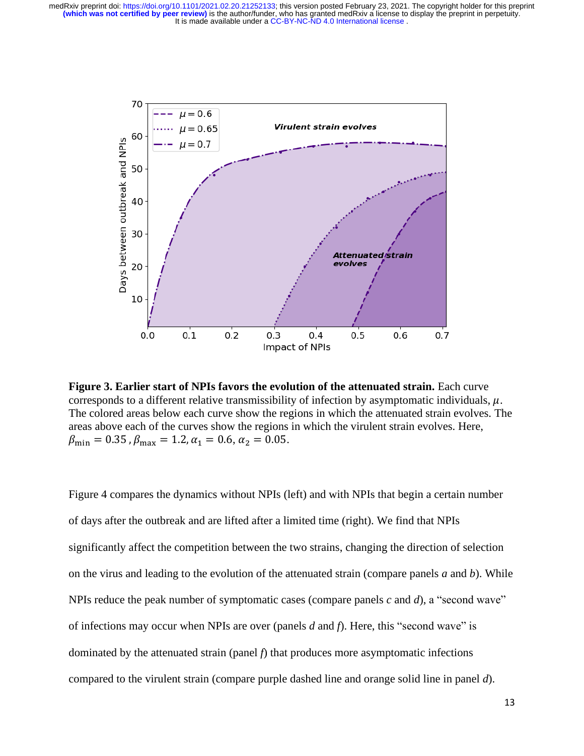

**Figure 3. Earlier start of NPIs favors the evolution of the attenuated strain.** Each curve corresponds to a different relative transmissibility of infection by asymptomatic individuals,  $\mu$ . The colored areas below each curve show the regions in which the attenuated strain evolves. The areas above each of the curves show the regions in which the virulent strain evolves. Here,  $\beta_{\text{min}} = 0.35$ ,  $\beta_{\text{max}} = 1.2$ ,  $\alpha_1 = 0.6$ ,  $\alpha_2 = 0.05$ .

Figure 4 compares the dynamics without NPIs (left) and with NPIs that begin a certain number of days after the outbreak and are lifted after a limited time (right). We find that NPIs significantly affect the competition between the two strains, changing the direction of selection on the virus and leading to the evolution of the attenuated strain (compare panels *a* and *b*). While NPIs reduce the peak number of symptomatic cases (compare panels *c* and *d*), a "second wave" of infections may occur when NPIs are over (panels *d* and *f*). Here, this "second wave" is dominated by the attenuated strain (panel *f*) that produces more asymptomatic infections compared to the virulent strain (compare purple dashed line and orange solid line in panel *d*).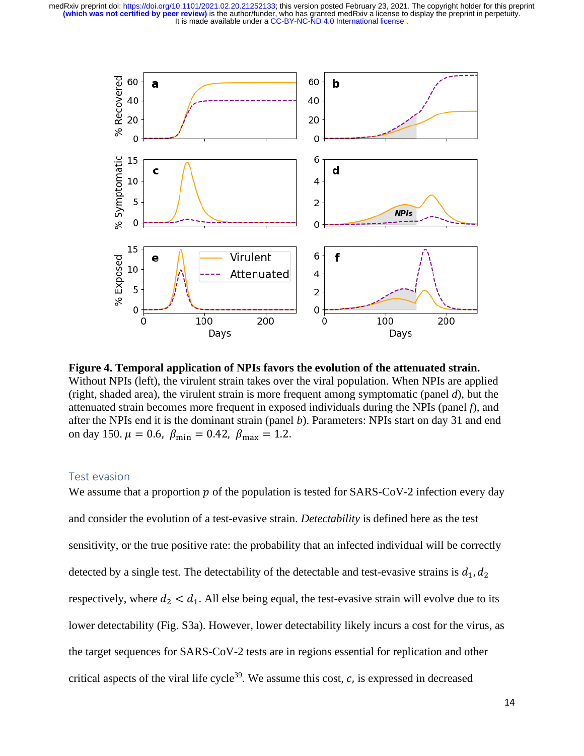

**Figure 4. Temporal application of NPIs favors the evolution of the attenuated strain.** Without NPIs (left), the virulent strain takes over the viral population. When NPIs are applied (right, shaded area), the virulent strain is more frequent among symptomatic (panel *d*), but the attenuated strain becomes more frequent in exposed individuals during the NPIs (panel *f*), and after the NPIs end it is the dominant strain (panel *b*). Parameters: NPIs start on day 31 and end on day 150.  $\mu = 0.6$ ,  $\beta_{\text{min}} = 0.42$ ,  $\beta_{\text{max}} = 1.2$ .

#### Test evasion

We assume that a proportion  $p$  of the population is tested for SARS-CoV-2 infection every day and consider the evolution of a test-evasive strain. *Detectability* is defined here as the test sensitivity, or the true positive rate: the probability that an infected individual will be correctly detected by a single test. The detectability of the detectable and test-evasive strains is  $d_1, d_2$ respectively, where  $d_2 < d_1$ . All else being equal, the test-evasive strain will evolve due to its lower detectability (Fig. S3a). However, lower detectability likely incurs a cost for the virus, as the target sequences for SARS-CoV-2 tests are in regions essential for replication and other critical aspects of the viral life cycle<sup>39</sup>. We assume this cost,  $c$ , is expressed in decreased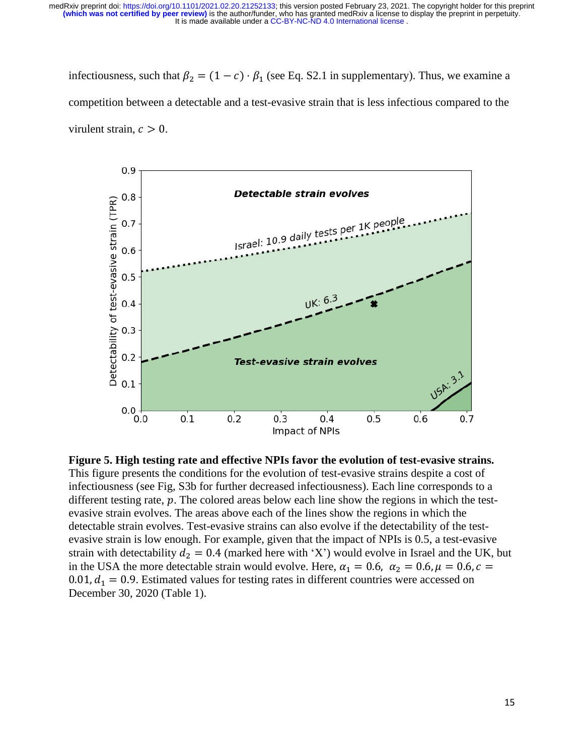infectiousness, such that  $\beta_2 = (1 - c) \cdot \beta_1$  (see Eq. S2.1 in supplementary). Thus, we examine a competition between a detectable and a test-evasive strain that is less infectious compared to the virulent strain,  $c > 0$ .



**Figure 5. High testing rate and effective NPIs favor the evolution of test-evasive strains.**  This figure presents the conditions for the evolution of test-evasive strains despite a cost of infectiousness (see Fig, S3b for further decreased infectiousness). Each line corresponds to a different testing rate,  $p$ . The colored areas below each line show the regions in which the testevasive strain evolves. The areas above each of the lines show the regions in which the detectable strain evolves. Test-evasive strains can also evolve if the detectability of the testevasive strain is low enough. For example, given that the impact of NPIs is 0.5, a test-evasive strain with detectability  $d_2 = 0.4$  (marked here with 'X') would evolve in Israel and the UK, but in the USA the more detectable strain would evolve. Here,  $\alpha_1 = 0.6$ ,  $\alpha_2 = 0.6$ ,  $\mu = 0.6$ ,  $c =$ 0.01,  $d_1 = 0.9$ . Estimated values for testing rates in different countries were accessed on December 30, 2020 (Table 1).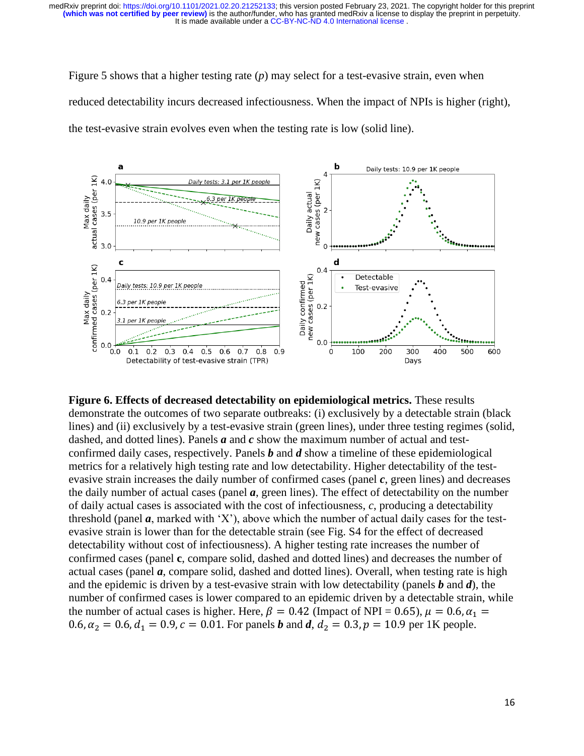Figure 5 shows that a higher testing rate (*p*) may select for a test-evasive strain, even when reduced detectability incurs decreased infectiousness. When the impact of NPIs is higher (right), the test-evasive strain evolves even when the testing rate is low (solid line).



**Figure 6. Effects of decreased detectability on epidemiological metrics.** These results demonstrate the outcomes of two separate outbreaks: (i) exclusively by a detectable strain (black lines) and (ii) exclusively by a test-evasive strain (green lines), under three testing regimes (solid, dashed, and dotted lines). Panels *a* and *c* show the maximum number of actual and testconfirmed daily cases, respectively. Panels *b* and *d* show a timeline of these epidemiological metrics for a relatively high testing rate and low detectability. Higher detectability of the testevasive strain increases the daily number of confirmed cases (panel *c*, green lines) and decreases the daily number of actual cases (panel *a*, green lines). The effect of detectability on the number of daily actual cases is associated with the cost of infectiousness, *c*, producing a detectability threshold (panel  $a$ , marked with 'X'), above which the number of actual daily cases for the testevasive strain is lower than for the detectable strain (see Fig. S4 for the effect of decreased detectability without cost of infectiousness). A higher testing rate increases the number of confirmed cases (panel **c**, compare solid, dashed and dotted lines) and decreases the number of actual cases (panel *a*, compare solid, dashed and dotted lines). Overall, when testing rate is high and the epidemic is driven by a test-evasive strain with low detectability (panels *b* and *d*), the number of confirmed cases is lower compared to an epidemic driven by a detectable strain, while the number of actual cases is higher. Here,  $\beta = 0.42$  (Impact of NPI = 0.65),  $\mu = 0.6$ ,  $\alpha_1 =$ 0.6,  $\alpha_2 = 0.6$ ,  $d_1 = 0.9$ ,  $c = 0.01$ . For panels *b* and *d*,  $d_2 = 0.3$ ,  $p = 10.9$  per 1K people.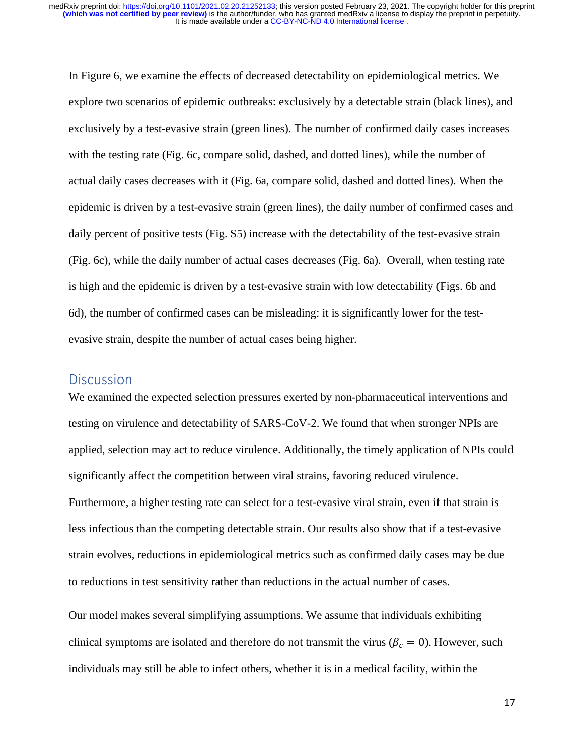In Figure 6, we examine the effects of decreased detectability on epidemiological metrics. We explore two scenarios of epidemic outbreaks: exclusively by a detectable strain (black lines), and exclusively by a test-evasive strain (green lines). The number of confirmed daily cases increases with the testing rate (Fig. 6c, compare solid, dashed, and dotted lines), while the number of actual daily cases decreases with it (Fig. 6a, compare solid, dashed and dotted lines). When the epidemic is driven by a test-evasive strain (green lines), the daily number of confirmed cases and daily percent of positive tests (Fig. S5) increase with the detectability of the test-evasive strain (Fig. 6c), while the daily number of actual cases decreases (Fig. 6a). Overall, when testing rate is high and the epidemic is driven by a test-evasive strain with low detectability (Figs. 6b and 6d), the number of confirmed cases can be misleading: it is significantly lower for the testevasive strain, despite the number of actual cases being higher.

### **Discussion**

We examined the expected selection pressures exerted by non-pharmaceutical interventions and testing on virulence and detectability of SARS-CoV-2. We found that when stronger NPIs are applied, selection may act to reduce virulence. Additionally, the timely application of NPIs could significantly affect the competition between viral strains, favoring reduced virulence. Furthermore, a higher testing rate can select for a test-evasive viral strain, even if that strain is less infectious than the competing detectable strain. Our results also show that if a test-evasive strain evolves, reductions in epidemiological metrics such as confirmed daily cases may be due to reductions in test sensitivity rather than reductions in the actual number of cases.

Our model makes several simplifying assumptions. We assume that individuals exhibiting clinical symptoms are isolated and therefore do not transmit the virus ( $\beta_c = 0$ ). However, such individuals may still be able to infect others, whether it is in a medical facility, within the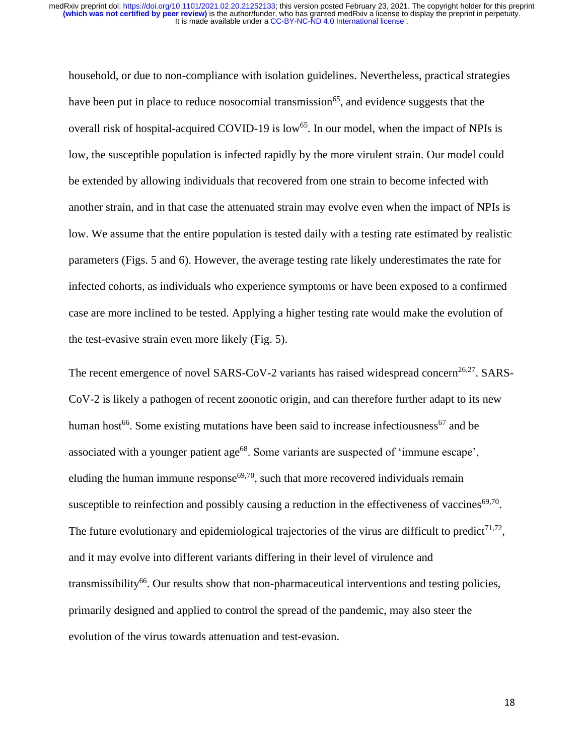household, or due to non-compliance with isolation guidelines. Nevertheless, practical strategies have been put in place to reduce nosocomial transmission<sup>65</sup>, and evidence suggests that the overall risk of hospital-acquired COVID-19 is low<sup>65</sup>. In our model, when the impact of NPIs is low, the susceptible population is infected rapidly by the more virulent strain. Our model could be extended by allowing individuals that recovered from one strain to become infected with another strain, and in that case the attenuated strain may evolve even when the impact of NPIs is low. We assume that the entire population is tested daily with a testing rate estimated by realistic parameters (Figs. 5 and 6). However, the average testing rate likely underestimates the rate for infected cohorts, as individuals who experience symptoms or have been exposed to a confirmed case are more inclined to be tested. Applying a higher testing rate would make the evolution of the test-evasive strain even more likely (Fig. 5).

The recent emergence of novel SARS-CoV-2 variants has raised widespread concern<sup>26,27</sup>. SARS-CoV-2 is likely a pathogen of recent zoonotic origin, and can therefore further adapt to its new human host<sup>66</sup>. Some existing mutations have been said to increase infectiousness<sup>67</sup> and be associated with a younger patient age<sup>68</sup>. Some variants are suspected of 'immune escape', eluding the human immune response<sup>69,70</sup>, such that more recovered individuals remain susceptible to reinfection and possibly causing a reduction in the effectiveness of vaccines  $69,70$ . The future evolutionary and epidemiological trajectories of the virus are difficult to predict $^{71,72}$ , and it may evolve into different variants differing in their level of virulence and transmissibility<sup>66</sup>. Our results show that non-pharmaceutical interventions and testing policies, primarily designed and applied to control the spread of the pandemic, may also steer the evolution of the virus towards attenuation and test-evasion.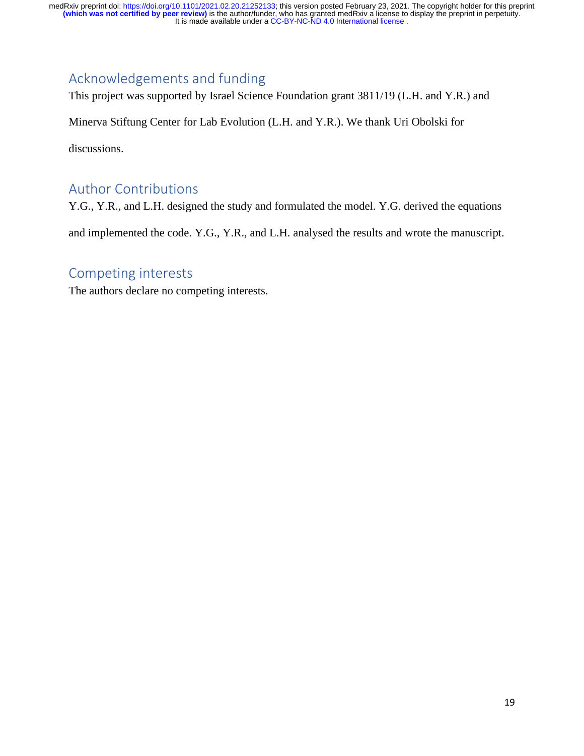## Acknowledgements and funding

This project was supported by Israel Science Foundation grant 3811/19 (L.H. and Y.R.) and

Minerva Stiftung Center for Lab Evolution (L.H. and Y.R.). We thank Uri Obolski for

discussions.

## Author Contributions

Y.G., Y.R., and L.H. designed the study and formulated the model. Y.G. derived the equations and implemented the code. Y.G., Y.R., and L.H. analysed the results and wrote the manuscript.

### Competing interests

The authors declare no competing interests.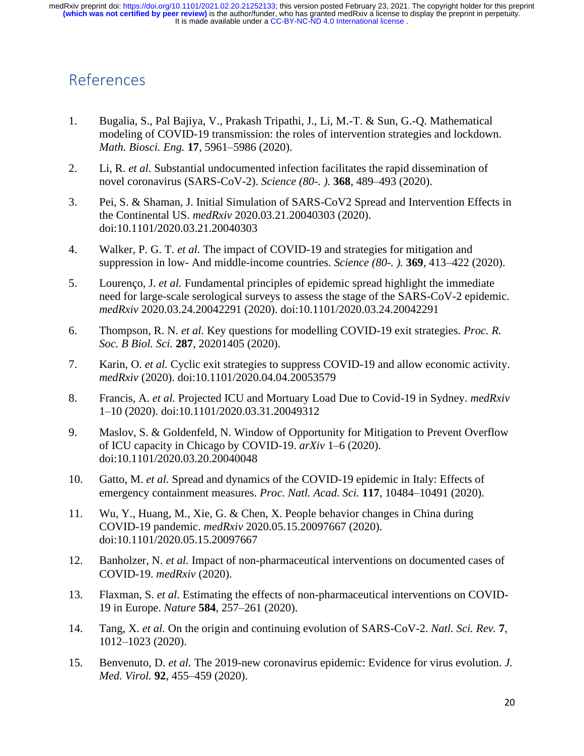# References

- 1. Bugalia, S., Pal Bajiya, V., Prakash Tripathi, J., Li, M.-T. & Sun, G.-Q. Mathematical modeling of COVID-19 transmission: the roles of intervention strategies and lockdown. *Math. Biosci. Eng.* **17**, 5961–5986 (2020).
- 2. Li, R. *et al.* Substantial undocumented infection facilitates the rapid dissemination of novel coronavirus (SARS-CoV-2). *Science (80-. ).* **368**, 489–493 (2020).
- 3. Pei, S. & Shaman, J. Initial Simulation of SARS-CoV2 Spread and Intervention Effects in the Continental US. *medRxiv* 2020.03.21.20040303 (2020). doi:10.1101/2020.03.21.20040303
- 4. Walker, P. G. T. *et al.* The impact of COVID-19 and strategies for mitigation and suppression in low- And middle-income countries. *Science (80-. ).* **369**, 413–422 (2020).
- 5. Lourenço, J. *et al.* Fundamental principles of epidemic spread highlight the immediate need for large-scale serological surveys to assess the stage of the SARS-CoV-2 epidemic. *medRxiv* 2020.03.24.20042291 (2020). doi:10.1101/2020.03.24.20042291
- 6. Thompson, R. N. *et al.* Key questions for modelling COVID-19 exit strategies. *Proc. R. Soc. B Biol. Sci.* **287**, 20201405 (2020).
- 7. Karin, O. *et al.* Cyclic exit strategies to suppress COVID-19 and allow economic activity. *medRxiv* (2020). doi:10.1101/2020.04.04.20053579
- 8. Francis, A. *et al.* Projected ICU and Mortuary Load Due to Covid-19 in Sydney. *medRxiv* 1–10 (2020). doi:10.1101/2020.03.31.20049312
- 9. Maslov, S. & Goldenfeld, N. Window of Opportunity for Mitigation to Prevent Overflow of ICU capacity in Chicago by COVID-19. *arXiv* 1–6 (2020). doi:10.1101/2020.03.20.20040048
- 10. Gatto, M. *et al.* Spread and dynamics of the COVID-19 epidemic in Italy: Effects of emergency containment measures. *Proc. Natl. Acad. Sci.* **117**, 10484–10491 (2020).
- 11. Wu, Y., Huang, M., Xie, G. & Chen, X. People behavior changes in China during COVID-19 pandemic. *medRxiv* 2020.05.15.20097667 (2020). doi:10.1101/2020.05.15.20097667
- 12. Banholzer, N. *et al.* Impact of non-pharmaceutical interventions on documented cases of COVID-19. *medRxiv* (2020).
- 13. Flaxman, S. *et al.* Estimating the effects of non-pharmaceutical interventions on COVID-19 in Europe. *Nature* **584**, 257–261 (2020).
- 14. Tang, X. *et al.* On the origin and continuing evolution of SARS-CoV-2. *Natl. Sci. Rev.* **7**, 1012–1023 (2020).
- 15. Benvenuto, D. *et al.* The 2019-new coronavirus epidemic: Evidence for virus evolution. *J. Med. Virol.* **92**, 455–459 (2020).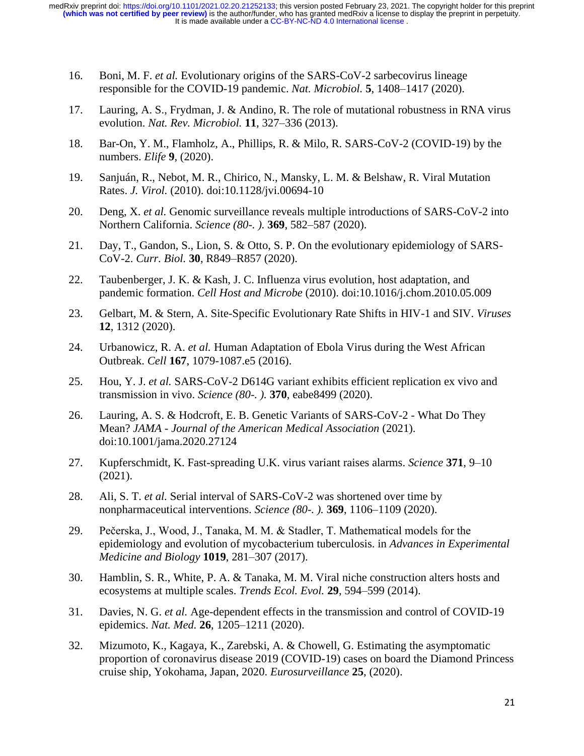- 16. Boni, M. F. *et al.* Evolutionary origins of the SARS-CoV-2 sarbecovirus lineage responsible for the COVID-19 pandemic. *Nat. Microbiol.* **5**, 1408–1417 (2020).
- 17. Lauring, A. S., Frydman, J. & Andino, R. The role of mutational robustness in RNA virus evolution. *Nat. Rev. Microbiol.* **11**, 327–336 (2013).
- 18. Bar-On, Y. M., Flamholz, A., Phillips, R. & Milo, R. SARS-CoV-2 (COVID-19) by the numbers. *Elife* **9**, (2020).
- 19. Sanjuán, R., Nebot, M. R., Chirico, N., Mansky, L. M. & Belshaw, R. Viral Mutation Rates. *J. Virol.* (2010). doi:10.1128/jvi.00694-10
- 20. Deng, X. *et al.* Genomic surveillance reveals multiple introductions of SARS-CoV-2 into Northern California. *Science (80-. ).* **369**, 582–587 (2020).
- 21. Day, T., Gandon, S., Lion, S. & Otto, S. P. On the evolutionary epidemiology of SARS-CoV-2. *Curr. Biol.* **30**, R849–R857 (2020).
- 22. Taubenberger, J. K. & Kash, J. C. Influenza virus evolution, host adaptation, and pandemic formation. *Cell Host and Microbe* (2010). doi:10.1016/j.chom.2010.05.009
- 23. Gelbart, M. & Stern, A. Site-Specific Evolutionary Rate Shifts in HIV-1 and SIV. *Viruses* **12**, 1312 (2020).
- 24. Urbanowicz, R. A. *et al.* Human Adaptation of Ebola Virus during the West African Outbreak. *Cell* **167**, 1079-1087.e5 (2016).
- 25. Hou, Y. J. *et al.* SARS-CoV-2 D614G variant exhibits efficient replication ex vivo and transmission in vivo. *Science (80-. ).* **370**, eabe8499 (2020).
- 26. Lauring, A. S. & Hodcroft, E. B. Genetic Variants of SARS-CoV-2 What Do They Mean? *JAMA - Journal of the American Medical Association* (2021). doi:10.1001/jama.2020.27124
- 27. Kupferschmidt, K. Fast-spreading U.K. virus variant raises alarms. *Science* **371**, 9–10 (2021).
- 28. Ali, S. T. *et al.* Serial interval of SARS-CoV-2 was shortened over time by nonpharmaceutical interventions. *Science (80-. ).* **369**, 1106–1109 (2020).
- 29. Pečerska, J., Wood, J., Tanaka, M. M. & Stadler, T. Mathematical models for the epidemiology and evolution of mycobacterium tuberculosis. in *Advances in Experimental Medicine and Biology* **1019**, 281–307 (2017).
- 30. Hamblin, S. R., White, P. A. & Tanaka, M. M. Viral niche construction alters hosts and ecosystems at multiple scales. *Trends Ecol. Evol.* **29**, 594–599 (2014).
- 31. Davies, N. G. *et al.* Age-dependent effects in the transmission and control of COVID-19 epidemics. *Nat. Med.* **26**, 1205–1211 (2020).
- 32. Mizumoto, K., Kagaya, K., Zarebski, A. & Chowell, G. Estimating the asymptomatic proportion of coronavirus disease 2019 (COVID-19) cases on board the Diamond Princess cruise ship, Yokohama, Japan, 2020. *Eurosurveillance* **25**, (2020).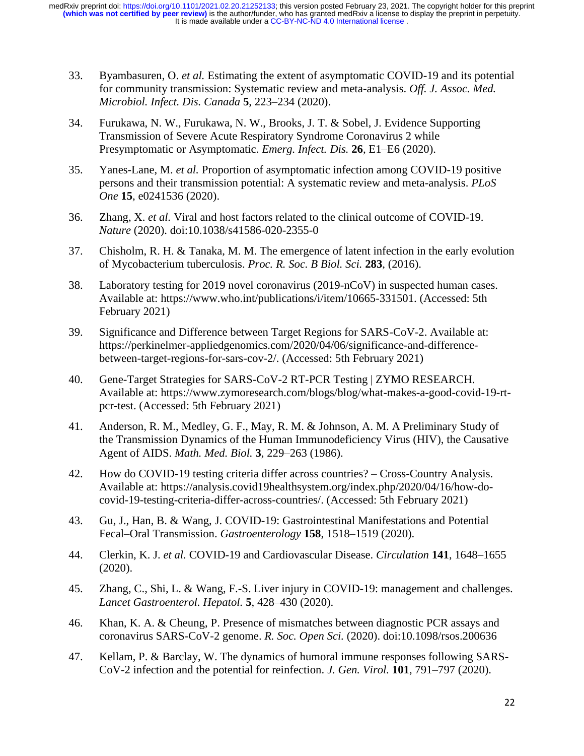- 33. Byambasuren, O. *et al.* Estimating the extent of asymptomatic COVID-19 and its potential for community transmission: Systematic review and meta-analysis. *Off. J. Assoc. Med. Microbiol. Infect. Dis. Canada* **5**, 223–234 (2020).
- 34. Furukawa, N. W., Furukawa, N. W., Brooks, J. T. & Sobel, J. Evidence Supporting Transmission of Severe Acute Respiratory Syndrome Coronavirus 2 while Presymptomatic or Asymptomatic. *Emerg. Infect. Dis.* **26**, E1–E6 (2020).
- 35. Yanes-Lane, M. *et al.* Proportion of asymptomatic infection among COVID-19 positive persons and their transmission potential: A systematic review and meta-analysis. *PLoS One* **15**, e0241536 (2020).
- 36. Zhang, X. *et al.* Viral and host factors related to the clinical outcome of COVID-19. *Nature* (2020). doi:10.1038/s41586-020-2355-0
- 37. Chisholm, R. H. & Tanaka, M. M. The emergence of latent infection in the early evolution of Mycobacterium tuberculosis. *Proc. R. Soc. B Biol. Sci.* **283**, (2016).
- 38. Laboratory testing for 2019 novel coronavirus (2019-nCoV) in suspected human cases. Available at: https://www.who.int/publications/i/item/10665-331501. (Accessed: 5th February 2021)
- 39. Significance and Difference between Target Regions for SARS-CoV-2. Available at: https://perkinelmer-appliedgenomics.com/2020/04/06/significance-and-differencebetween-target-regions-for-sars-cov-2/. (Accessed: 5th February 2021)
- 40. Gene-Target Strategies for SARS-CoV-2 RT-PCR Testing | ZYMO RESEARCH. Available at: https://www.zymoresearch.com/blogs/blog/what-makes-a-good-covid-19-rtpcr-test. (Accessed: 5th February 2021)
- 41. Anderson, R. M., Medley, G. F., May, R. M. & Johnson, A. M. A Preliminary Study of the Transmission Dynamics of the Human Immunodeficiency Virus (HIV), the Causative Agent of AIDS. *Math. Med. Biol.* **3**, 229–263 (1986).
- 42. How do COVID-19 testing criteria differ across countries? Cross-Country Analysis. Available at: https://analysis.covid19healthsystem.org/index.php/2020/04/16/how-docovid-19-testing-criteria-differ-across-countries/. (Accessed: 5th February 2021)
- 43. Gu, J., Han, B. & Wang, J. COVID-19: Gastrointestinal Manifestations and Potential Fecal–Oral Transmission. *Gastroenterology* **158**, 1518–1519 (2020).
- 44. Clerkin, K. J. *et al.* COVID-19 and Cardiovascular Disease. *Circulation* **141**, 1648–1655 (2020).
- 45. Zhang, C., Shi, L. & Wang, F.-S. Liver injury in COVID-19: management and challenges. *Lancet Gastroenterol. Hepatol.* **5**, 428–430 (2020).
- 46. Khan, K. A. & Cheung, P. Presence of mismatches between diagnostic PCR assays and coronavirus SARS-CoV-2 genome. *R. Soc. Open Sci.* (2020). doi:10.1098/rsos.200636
- 47. Kellam, P. & Barclay, W. The dynamics of humoral immune responses following SARS-CoV-2 infection and the potential for reinfection. *J. Gen. Virol.* **101**, 791–797 (2020).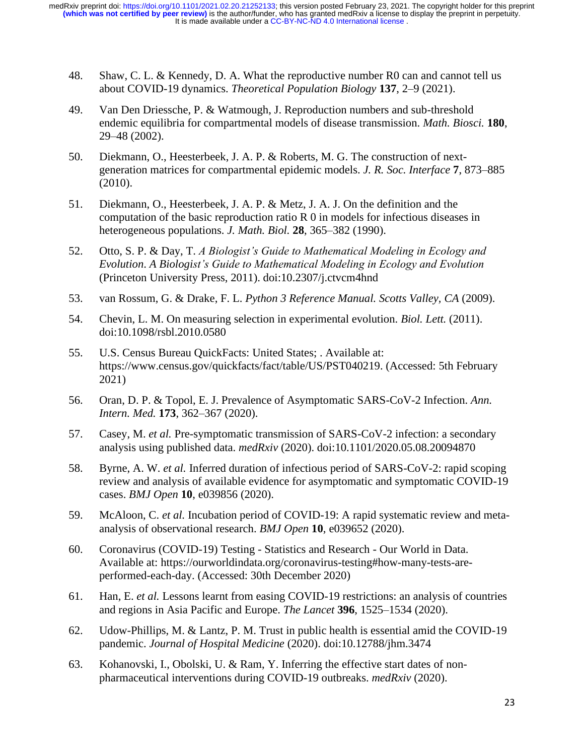- 48. Shaw, C. L. & Kennedy, D. A. What the reproductive number R0 can and cannot tell us about COVID-19 dynamics. *Theoretical Population Biology* **137**, 2–9 (2021).
- 49. Van Den Driessche, P. & Watmough, J. Reproduction numbers and sub-threshold endemic equilibria for compartmental models of disease transmission. *Math. Biosci.* **180**, 29–48 (2002).
- 50. Diekmann, O., Heesterbeek, J. A. P. & Roberts, M. G. The construction of nextgeneration matrices for compartmental epidemic models. *J. R. Soc. Interface* **7**, 873–885 (2010).
- 51. Diekmann, O., Heesterbeek, J. A. P. & Metz, J. A. J. On the definition and the computation of the basic reproduction ratio R 0 in models for infectious diseases in heterogeneous populations. *J. Math. Biol.* **28**, 365–382 (1990).
- 52. Otto, S. P. & Day, T. *A Biologist's Guide to Mathematical Modeling in Ecology and Evolution*. *A Biologist's Guide to Mathematical Modeling in Ecology and Evolution* (Princeton University Press, 2011). doi:10.2307/j.ctvcm4hnd
- 53. van Rossum, G. & Drake, F. L. *Python 3 Reference Manual. Scotts Valley, CA* (2009).
- 54. Chevin, L. M. On measuring selection in experimental evolution. *Biol. Lett.* (2011). doi:10.1098/rsbl.2010.0580
- 55. U.S. Census Bureau QuickFacts: United States; . Available at: https://www.census.gov/quickfacts/fact/table/US/PST040219. (Accessed: 5th February 2021)
- 56. Oran, D. P. & Topol, E. J. Prevalence of Asymptomatic SARS-CoV-2 Infection. *Ann. Intern. Med.* **173**, 362–367 (2020).
- 57. Casey, M. *et al.* Pre-symptomatic transmission of SARS-CoV-2 infection: a secondary analysis using published data. *medRxiv* (2020). doi:10.1101/2020.05.08.20094870
- 58. Byrne, A. W. *et al.* Inferred duration of infectious period of SARS-CoV-2: rapid scoping review and analysis of available evidence for asymptomatic and symptomatic COVID-19 cases. *BMJ Open* **10**, e039856 (2020).
- 59. McAloon, C. *et al.* Incubation period of COVID-19: A rapid systematic review and metaanalysis of observational research. *BMJ Open* **10**, e039652 (2020).
- 60. Coronavirus (COVID-19) Testing Statistics and Research Our World in Data. Available at: https://ourworldindata.org/coronavirus-testing#how-many-tests-areperformed-each-day. (Accessed: 30th December 2020)
- 61. Han, E. *et al.* Lessons learnt from easing COVID-19 restrictions: an analysis of countries and regions in Asia Pacific and Europe. *The Lancet* **396**, 1525–1534 (2020).
- 62. Udow-Phillips, M. & Lantz, P. M. Trust in public health is essential amid the COVID-19 pandemic. *Journal of Hospital Medicine* (2020). doi:10.12788/jhm.3474
- 63. Kohanovski, I., Obolski, U. & Ram, Y. Inferring the effective start dates of nonpharmaceutical interventions during COVID-19 outbreaks. *medRxiv* (2020).